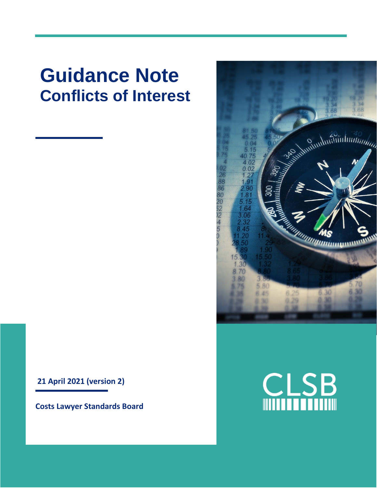# **Guidance Note Conflicts of Interest**

**21 April 2021 (version 2)**

**Costs Lawyer Standards Board**



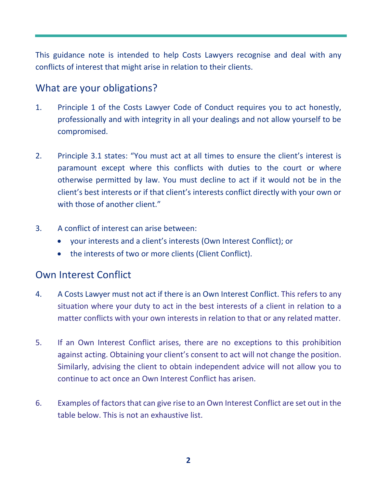This guidance note is intended to help Costs Lawyers recognise and deal with any conflicts of interest that might arise in relation to their clients.

### What are your obligations?

- 1. Principle 1 of the Costs Lawyer Code of Conduct requires you to act honestly, professionally and with integrity in all your dealings and not allow yourself to be compromised.
- 2. Principle 3.1 states: "You must act at all times to ensure the client's interest is paramount except where this conflicts with duties to the court or where otherwise permitted by law. You must decline to act if it would not be in the client's best interests or if that client's interests conflict directly with your own or with those of another client."
- 3. A conflict of interest can arise between:
	- your interests and a client's interests (Own Interest Conflict); or
	- the interests of two or more clients (Client Conflict).

#### Own Interest Conflict

- 4. A Costs Lawyer must not act if there is an Own Interest Conflict. This refers to any situation where your duty to act in the best interests of a client in relation to a matter conflicts with your own interests in relation to that or any related matter.
- 5. If an Own Interest Conflict arises, there are no exceptions to this prohibition against acting. Obtaining your client's consent to act will not change the position. Similarly, advising the client to obtain independent advice will not allow you to continue to act once an Own Interest Conflict has arisen.
- 6. Examples of factors that can give rise to an Own Interest Conflict are set out in the table below. This is not an exhaustive list.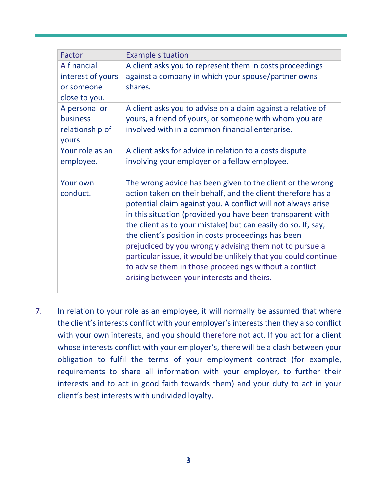| Factor                    | <b>Example situation</b>                                                                                                   |
|---------------------------|----------------------------------------------------------------------------------------------------------------------------|
| A financial               | A client asks you to represent them in costs proceedings                                                                   |
| interest of yours         | against a company in which your spouse/partner owns                                                                        |
| or someone                | shares.                                                                                                                    |
| close to you.             |                                                                                                                            |
| A personal or<br>business | A client asks you to advise on a claim against a relative of<br>yours, a friend of yours, or someone with whom you are     |
| relationship of<br>yours. | involved with in a common financial enterprise.                                                                            |
| Your role as an           | A client asks for advice in relation to a costs dispute                                                                    |
| employee.                 | involving your employer or a fellow employee.                                                                              |
| Your own<br>conduct.      | The wrong advice has been given to the client or the wrong<br>action taken on their behalf, and the client therefore has a |
|                           | potential claim against you. A conflict will not always arise                                                              |
|                           | in this situation (provided you have been transparent with                                                                 |
|                           | the client as to your mistake) but can easily do so. If, say,<br>the client's position in costs proceedings has been       |
|                           | prejudiced by you wrongly advising them not to pursue a                                                                    |
|                           | particular issue, it would be unlikely that you could continue<br>to advise them in those proceedings without a conflict   |
|                           | arising between your interests and theirs.                                                                                 |

7. In relation to your role as an employee, it will normally be assumed that where the client's interests conflict with your employer's interests then they also conflict with your own interests, and you should therefore not act. If you act for a client whose interests conflict with your employer's, there will be a clash between your obligation to fulfil the terms of your employment contract (for example, requirements to share all information with your employer, to further their interests and to act in good faith towards them) and your duty to act in your client's best interests with undivided loyalty.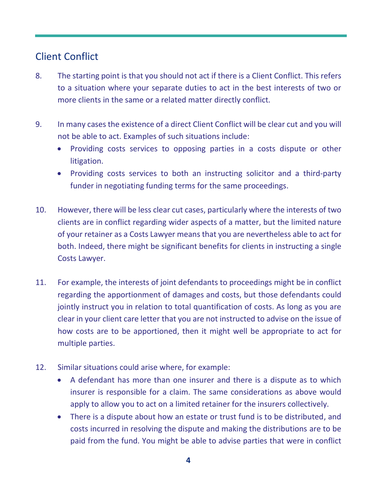## Client Conflict

- 8. The starting point is that you should not act if there is a Client Conflict. This refers to a situation where your separate duties to act in the best interests of two or more clients in the same or a related matter directly conflict.
- 9. In many cases the existence of a direct Client Conflict will be clear cut and you will not be able to act. Examples of such situations include:
	- Providing costs services to opposing parties in a costs dispute or other litigation.
	- Providing costs services to both an instructing solicitor and a third-party funder in negotiating funding terms for the same proceedings.
- 10. However, there will be less clear cut cases, particularly where the interests of two clients are in conflict regarding wider aspects of a matter, but the limited nature of your retainer as a Costs Lawyer means that you are nevertheless able to act for both. Indeed, there might be significant benefits for clients in instructing a single Costs Lawyer.
- 11. For example, the interests of joint defendants to proceedings might be in conflict regarding the apportionment of damages and costs, but those defendants could jointly instruct you in relation to total quantification of costs. As long as you are clear in your client care letter that you are not instructed to advise on the issue of how costs are to be apportioned, then it might well be appropriate to act for multiple parties.
- 12. Similar situations could arise where, for example:
	- A defendant has more than one insurer and there is a dispute as to which insurer is responsible for a claim. The same considerations as above would apply to allow you to act on a limited retainer for the insurers collectively.
	- There is a dispute about how an estate or trust fund is to be distributed, and costs incurred in resolving the dispute and making the distributions are to be paid from the fund. You might be able to advise parties that were in conflict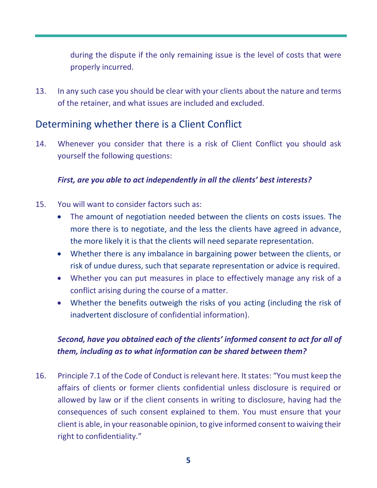during the dispute if the only remaining issue is the level of costs that were properly incurred.

13. In any such case you should be clear with your clients about the nature and terms of the retainer, and what issues are included and excluded.

## Determining whether there is a Client Conflict

14. Whenever you consider that there is a risk of Client Conflict you should ask yourself the following questions:

#### *First, are you able to act independently in all the clients' best interests?*

- 15. You will want to consider factors such as:
	- The amount of negotiation needed between the clients on costs issues. The more there is to negotiate, and the less the clients have agreed in advance, the more likely it is that the clients will need separate representation.
	- Whether there is any imbalance in bargaining power between the clients, or risk of undue duress, such that separate representation or advice is required.
	- Whether you can put measures in place to effectively manage any risk of a conflict arising during the course of a matter.
	- Whether the benefits outweigh the risks of you acting (including the risk of inadvertent disclosure of confidential information).

#### *Second, have you obtained each of the clients' informed consent to act for all of them, including as to what information can be shared between them?*

16. Principle 7.1 of the Code of Conduct is relevant here. It states: "You must keep the affairs of clients or former clients confidential unless disclosure is required or allowed by law or if the client consents in writing to disclosure, having had the consequences of such consent explained to them. You must ensure that your client is able, in your reasonable opinion, to give informed consent to waiving their right to confidentiality."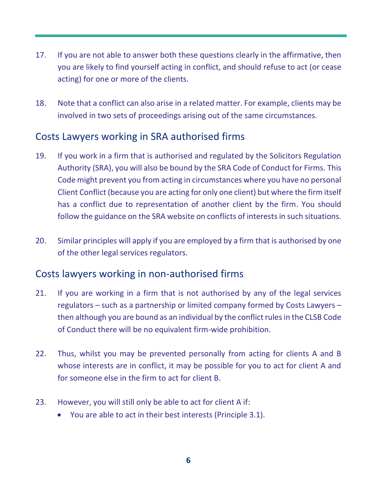- 17. If you are not able to answer both these questions clearly in the affirmative, then you are likely to find yourself acting in conflict, and should refuse to act (or cease acting) for one or more of the clients.
- 18. Note that a conflict can also arise in a related matter. For example, clients may be involved in two sets of proceedings arising out of the same circumstances.

## Costs Lawyers working in SRA authorised firms

- 19. If you work in a firm that is authorised and regulated by the Solicitors Regulation Authority (SRA), you will also be bound by the SRA Code of Conduct for Firms. This Code might prevent you from acting in circumstances where you have no personal Client Conflict (because you are acting for only one client) but where the firm itself has a conflict due to representation of another client by the firm. You should follow the guidance on the SRA website on conflicts of interests in such situations.
- 20. Similar principles will apply if you are employed by a firm that is authorised by one of the other legal services regulators.

#### Costs lawyers working in non-authorised firms

- 21. If you are working in a firm that is not authorised by any of the legal services regulators – such as a partnership or limited company formed by Costs Lawyers – then although you are bound as an individual by the conflict rules in the CLSB Code of Conduct there will be no equivalent firm-wide prohibition.
- 22. Thus, whilst you may be prevented personally from acting for clients A and B whose interests are in conflict, it may be possible for you to act for client A and for someone else in the firm to act for client B.
- 23. However, you will still only be able to act for client A if:
	- You are able to act in their best interests (Principle 3.1).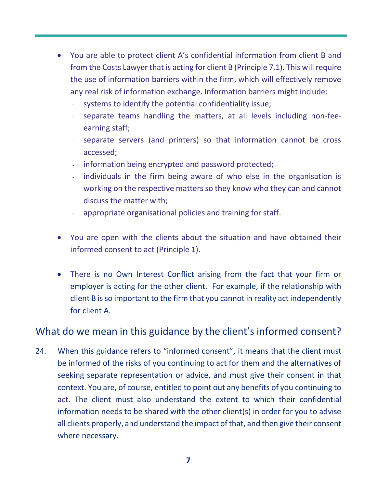- You are able to protect client A's confidential information from client B and from the Costs Lawyer that is acting for client B (Principle 7.1). This will require the use of information barriers within the firm, which will effectively remove any real risk of information exchange. Information barriers might include:
	- systems to identify the potential confidentiality issue;
	- separate teams handling the matters, at all levels including non-feeearning staff;
	- separate servers (and printers) so that information cannot be cross accessed;
	- information being encrypted and password protected;
	- individuals in the firm being aware of who else in the organisation is working on the respective matters so they know who they can and cannot discuss the matter with;
	- appropriate organisational policies and training for staff.
- You are open with the clients about the situation and have obtained their informed consent to act (Principle 1).
- There is no Own Interest Conflict arising from the fact that your firm or employer is acting for the other client. For example, if the relationship with client B is so important to the firm that you cannot in reality act independently for client A.

#### What do we mean in this guidance by the client's informed consent?

24. When this guidance refers to "informed consent", it means that the client must be informed of the risks of you continuing to act for them and the alternatives of seeking separate representation or advice, and must give their consent in that context. You are, of course, entitled to point out any benefits of you continuing to act. The client must also understand the extent to which their confidential information needs to be shared with the other client(s) in order for you to advise all clients properly, and understand the impact of that, and then give their consent where necessary.